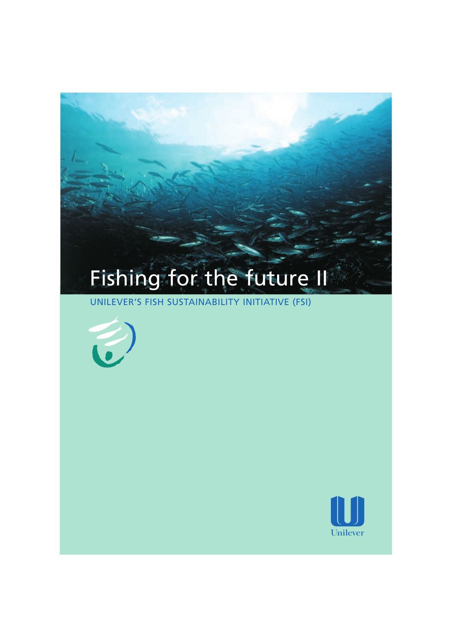# Fishing for the future II

UNILEVER'S FISH SUSTAINABILITY INITIATIVE (FSI)



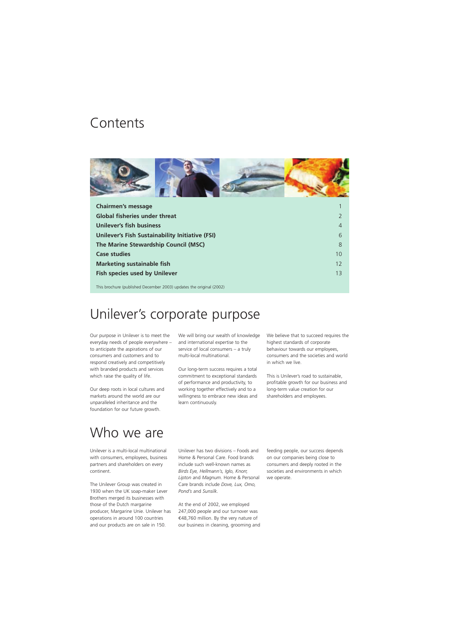### **Contents**



| <b>Chairmen's message</b>                                           |    |
|---------------------------------------------------------------------|----|
| <b>Global fisheries under threat</b>                                |    |
| <b>Unilever's fish business</b>                                     | 4  |
| Unilever's Fish Sustainability Initiative (FSI)                     | 6  |
| The Marine Stewardship Council (MSC)                                | 8  |
| <b>Case studies</b>                                                 | 10 |
| <b>Marketing sustainable fish</b>                                   | 12 |
| <b>Fish species used by Unilever</b>                                | 13 |
| This brochure (published December 2003) updates the original (2002) |    |

### Unilever's corporate purpose

Our purpose in Unilever is to meet the everyday needs of people everywhere – to anticipate the aspirations of our consumers and customers and to respond creatively and competitively with branded products and services which raise the quality of life.

Our deep roots in local cultures and markets around the world are our unparalleled inheritance and the foundation for our future growth.

We will bring our wealth of knowledge and international expertise to the service of local consumers – a truly multi-local multinational.

Our long-term success requires a total commitment to exceptional standards of performance and productivity, to working together effectively and to a willingness to embrace new ideas and learn continuously.

We believe that to succeed requires the highest standards of corporate behaviour towards our employees, consumers and the societies and world in which we live.

This is Unilever's road to sustainable, profitable growth for our business and long-term value creation for our shareholders and employees.

# Who we are

Unilever is a multi-local multinational with consumers, employees, business partners and shareholders on every continent.

The Unilever Group was created in 1930 when the UK soap-maker Lever Brothers merged its businesses with those of the Dutch margarine producer, Margarine Unie. Unilever has operations in around 100 countries and our products are on sale in 150.

Unilever has two divisions – Foods and Home & Personal Care. Food brands include such well-known names as *Birds Eye, Hellmann's, Iglo, Knorr, Lipton* and *Magnum*. Home & Personal Care brands include *Dove, Lux, Omo, Pond's* and *Sunsilk*.

At the end of 2002, we employed 247,000 people and our turnover was €48,760 million. By the very nature of our business in cleaning, grooming and

feeding people, our success depends on our companies being close to consumers and deeply rooted in the societies and environments in which we operate.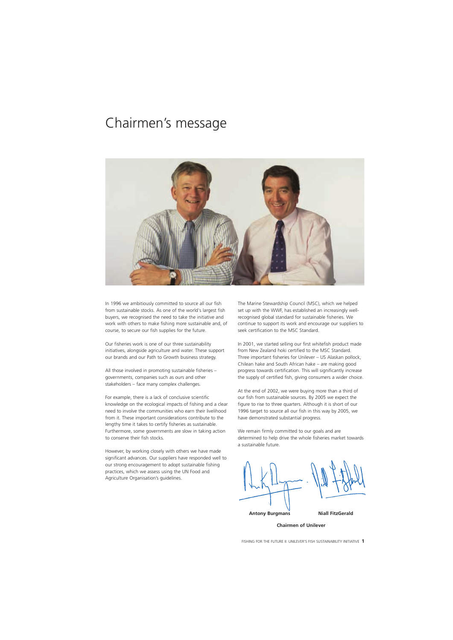### Chairmen's message



In 1996 we ambitiously committed to source all our fish from sustainable stocks. As one of the world's largest fish buyers, we recognised the need to take the initiative and work with others to make fishing more sustainable and, of course, to secure our fish supplies for the future.

Our fisheries work is one of our three sustainability initiatives, alongside agriculture and water. These support our brands and our Path to Growth business strategy.

All those involved in promoting sustainable fisheries – governments, companies such as ours and other stakeholders – face many complex challenges.

For example, there is a lack of conclusive scientific knowledge on the ecological impacts of fishing and a clear need to involve the communities who earn their livelihood from it. These important considerations contribute to the lengthy time it takes to certify fisheries as sustainable. Furthermore, some governments are slow in taking action to conserve their fish stocks.

However, by working closely with others we have made significant advances. Our suppliers have responded well to our strong encouragement to adopt sustainable fishing practices, which we assess using the UN Food and Agriculture Organisation's guidelines.

The Marine Stewardship Council (MSC), which we helped set up with the WWF, has established an increasingly wellrecognised global standard for sustainable fisheries. We continue to support its work and encourage our suppliers to seek certification to the MSC Standard.

In 2001, we started selling our first whitefish product made from New Zealand hoki certified to the MSC Standard. Three important fisheries for Unilever – US Alaskan pollock, Chilean hake and South African hake – are making good progress towards certification. This will significantly increase the supply of certified fish, giving consumers a wider choice.

At the end of 2002, we were buying more than a third of our fish from sustainable sources. By 2005 we expect the figure to rise to three quarters. Although it is short of our 1996 target to source all our fish in this way by 2005, we have demonstrated substantial progress.

We remain firmly committed to our goals and are determined to help drive the whole fisheries market towards a sustainable future.

**Antony Burgmans Miall FitzGerald** 

**Chairmen of Unilever**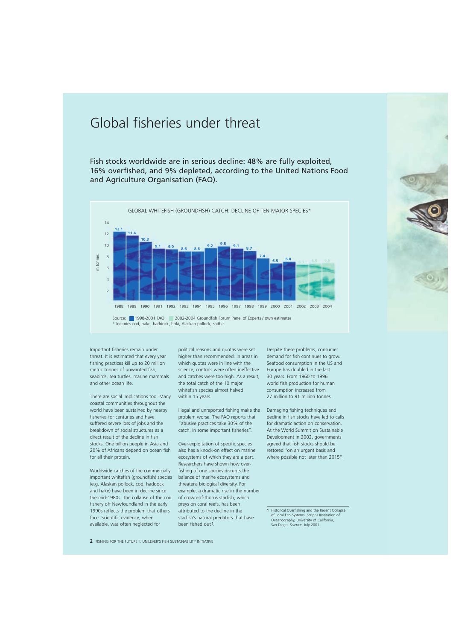# Global fisheries under threat

Fish stocks worldwide are in serious decline: 48% are fully exploited, 16% overfished, and 9% depleted, according to the United Nations Food and Agriculture Organisation (FAO).



Important fisheries remain under threat. It is estimated that every year fishing practices kill up to 20 million metric tonnes of unwanted fish, seabirds, sea turtles, marine mammals and other ocean life.

There are social implications too. Many coastal communities throughout the world have been sustained by nearby fisheries for centuries and have suffered severe loss of jobs and the breakdown of social structures as a direct result of the decline in fish stocks. One billion people in Asia and 20% of Africans depend on ocean fish for all their protein.

Worldwide catches of the commercially important whitefish (groundfish) species (e.g. Alaskan pollock, cod, haddock and hake) have been in decline since the mid-1980s. The collapse of the cod fishery off Newfoundland in the early 1990s reflects the problem that others face. Scientific evidence, when available, was often neglected for

political reasons and quotas were set higher than recommended. In areas in which quotas were in line with the science, controls were often ineffective and catches were too high. As a result, the total catch of the 10 major whitefish species almost halved within 15 years.

Illegal and unreported fishing make the problem worse. The FAO reports that "abusive practices take 30% of the catch, in some important fisheries".

Over-exploitation of specific species also has a knock-on effect on marine ecosystems of which they are a part. Researchers have shown how overfishing of one species disrupts the balance of marine ecosystems and threatens biological diversity. For example, a dramatic rise in the number of crown-of-thorns starfish, which preys on coral reefs, has been attributed to the decline in the starfish's natural predators that have been fished out 1.

Despite these problems, consumer demand for fish continues to grow. Seafood consumption in the US and Europe has doubled in the last 30 years. From 1960 to 1996 world fish production for human consumption increased from 27 million to 91 million tonnes.

Damaging fishing techniques and decline in fish stocks have led to calls for dramatic action on conservation. At the World Summit on Sustainable Development in 2002, governments agreed that fish stocks should be restored "on an urgent basis and where possible not later than 2015".

**<sup>1</sup>** Historical Overfishing and the Recent Collapse of Local Eco-Systems, Scripps Institution of Oceanography, University of California, San Diego. *Science*, July 2001.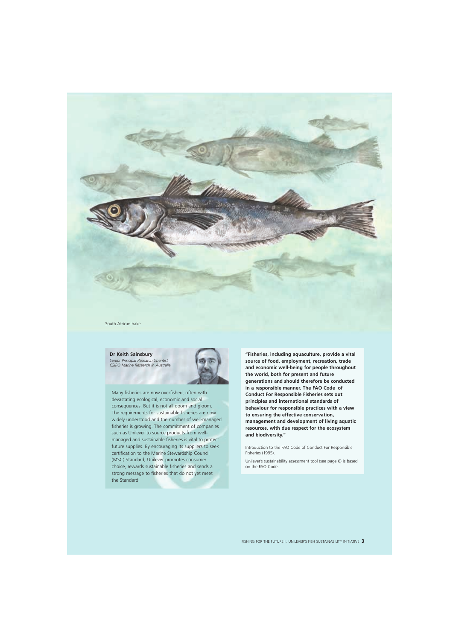

South African hake

**Dr Keith Sainsbury**  *Senior Principal Research Scientist* 

*CSIRO Marine Research in Australia* 



Many fisheries are now overfished, often with devastating ecological, economic and social consequences. But it is not all doom and gloom. The requirements for sustainable fisheries are now widely understood and the number of well-managed fisheries is growing. The commitment of companies such as Unilever to source products from wellmanaged and sustainable fisheries is vital to protect future supplies. By encouraging its suppliers to seek certification to the Marine Stewardship Council (MSC) Standard, Unilever promotes consumer choice, rewards sustainable fisheries and sends a strong message to fisheries that do not yet meet the Standard.

**"Fisheries, including aquaculture, provide a vital source of food, employment, recreation, trade and economic well-being for people throughout the world, both for present and future generations and should therefore be conducted in a responsible manner. The FAO Code of Conduct For Responsible Fisheries sets out principles and international standards of behaviour for responsible practices with a view to ensuring the effective conservation, management and development of living aquatic resources, with due respect for the ecosystem and biodiversity."** 

Introduction to the FAO Code of Conduct For Responsible Fisheries (1995).

Unilever's sustainability assessment tool (see page 6) is based on the FAO Code.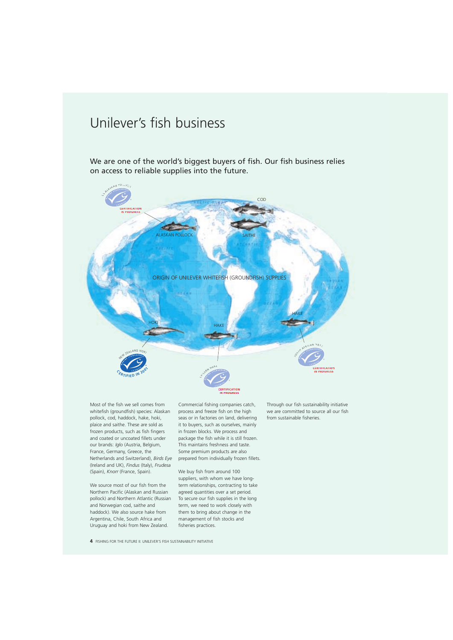# Unilever's fish business

We are one of the world's biggest buyers of fish. Our fish business relies on access to reliable supplies into the future.



**IN PROGRESS PROGRESS** 

Most of the fish we sell comes from whitefish (groundfish) species: Alaskan pollock, cod, haddock, hake, hoki, plaice and saithe. These are sold as frozen products, such as fish fingers and coated or uncoated fillets under our brands: *Iglo* (Austria, Belgium, France, Germany, Greece, the Netherlands and Switzerland), *Birds Eye*  (Ireland and UK), *Findus* (Italy), *Frudesa*  (Spain), *Knorr* (France, Spain).

We source most of our fish from the Northern Pacific (Alaskan and Russian pollock) and Northern Atlantic (Russian and Norwegian cod, saithe and haddock). We also source hake from Argentina, Chile, South Africa and Uruguay and hoki from New Zealand.

Commercial fishing companies catch, process and freeze fish on the high seas or in factories on land, delivering it to buyers, such as ourselves, mainly in frozen blocks. We process and package the fish while it is still frozen. This maintains freshness and taste. Some premium products are also prepared from individually frozen fillets.

We buy fish from around 100 suppliers, with whom we have longterm relationships, contracting to take agreed quantities over a set period. To secure our fish supplies in the long term, we need to work closely with them to bring about change in the management of fish stocks and fisheries practices.

Through our fish sustainability initiative we are committed to source all our fish from sustainable fisheries.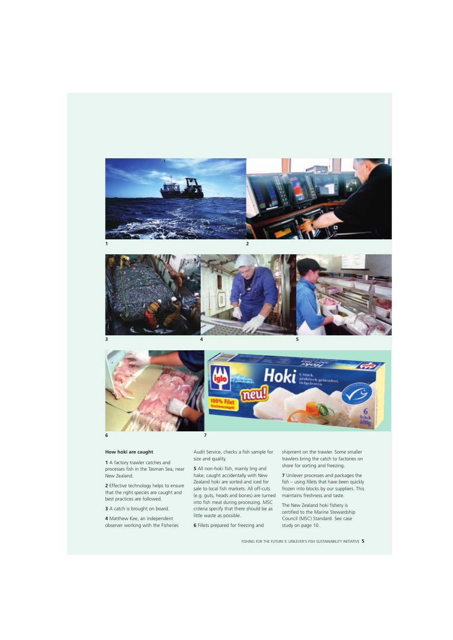





#### **How hoki are caught**

**1** A factory trawler catches and processes fish in the Tasman Sea, near New Zealand.

**2** Effective technology helps to ensure that the right species are caught and best practices are followed.

**3** A catch is brought on board.

**4** Matthew Kee, an independent observer working with the Fisheries Audit Service, checks a fish sample for size and quality.

**5** All non-hoki fish, mainly ling and hake, caught accidentally with New Zealand hoki are sorted and iced for sale to local fish markets. All off-cuts (e.g. guts, heads and bones) are turned into fish meal during processing. MSC criteria specify that there should be as little waste as possible.

**6** Fillets prepared for freezing and

shipment on the trawler. Some smaller trawlers bring the catch to factories on shore for sorting and freezing.

**7** Unilever processes and packages the fish – using fillets that have been quickly frozen into blocks by our suppliers. This maintains freshness and taste.

The New Zealand hoki fishery is certified to the Marine Stewardship Council (MSC) Standard. See case study on page 10.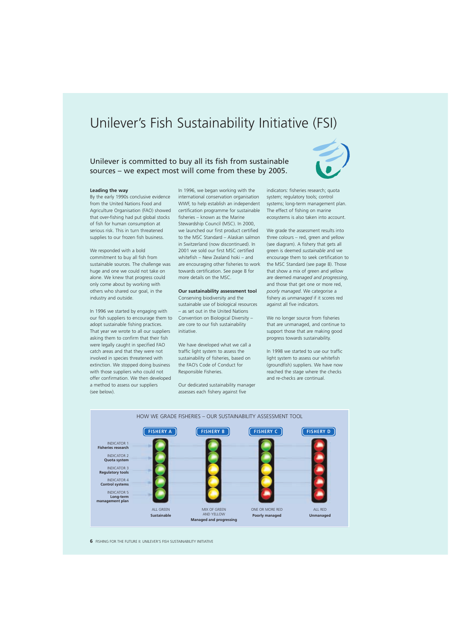# Unilever's Fish Sustainability Initiative (FSI)

### Unilever is committed to buy all its fish from sustainable sources – we expect most will come from these by 2005.



#### **Leading the way**

By the early 1990s conclusive evidence from the United Nations Food and Agriculture Organisation (FAO) showed that over-fishing had put global stocks of fish for human consumption at serious risk. This in turn threatened supplies to our frozen fish business.

We responded with a bold commitment to buy all fish from sustainable sources. The challenge was huge and one we could not take on alone. We knew that progress could only come about by working with others who shared our goal, in the industry and outside.

In 1996 we started by engaging with our fish suppliers to encourage them to adopt sustainable fishing practices. That year we wrote to all our suppliers asking them to confirm that their fish were legally caught in specified FAO catch areas and that they were not involved in species threatened with extinction. We stopped doing business with those suppliers who could not offer confirmation. We then developed a method to assess our suppliers (see below).

In 1996, we began working with the international conservation organisation WWF, to help establish an independent certification programme for sustainable fisheries – known as the Marine Stewardship Council (MSC). In 2000, we launched our first product certified to the MSC Standard – Alaskan salmon in Switzerland (now discontinued). In 2001 we sold our first MSC certified whitefish – New Zealand hoki – and are encouraging other fisheries to work towards certification. See page 8 for more details on the MSC.

#### **Our sustainability assessment tool**

Conserving biodiversity and the sustainable use of biological resources – as set out in the United Nations Convention on Biological Diversity – are core to our fish sustainability initiative.

We have developed what we call a traffic light system to assess the sustainability of fisheries, based on the FAO's Code of Conduct for Responsible Fisheries.

Our dedicated sustainability manager assesses each fishery against five

indicators: fisheries research; quota system; regulatory tools; control systems; long-term management plan. The effect of fishing on marine ecosystems is also taken into account.

We grade the assessment results into three colours – red, green and yellow (see diagram). A fishery that gets all green is deemed *sustainable* and we encourage them to seek certification to the MSC Standard (see page 8). Those that show a mix of green and yellow are deemed *managed and progressing*, and those that get one or more red, *poorly managed*. We categorise a fishery as *unmanaged* if it scores red against all five indicators.

We no longer source from fisheries that are unmanaged, and continue to support those that are making good progress towards sustainability.

In 1998 we started to use our traffic light system to assess our whitefish (groundfish) suppliers. We have now reached the stage where the checks and re-checks are continual.

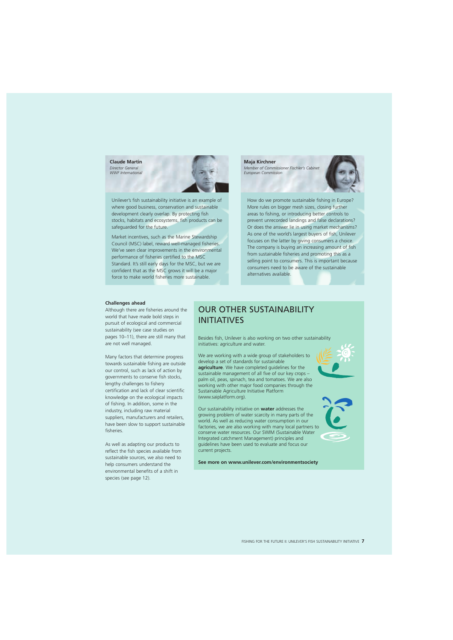**Claude Martin** 

*Director General WWF International* 



Unilever's fish sustainability initiative is an example of How do we promote sustainable fishing in Europe? where good business, conservation and sustainable More rules on bigger mesh sizes, closing further development clearly overlap. By protecting fish areas to fishing, or introducing better controls to stocks, habitats and ecosystems, fish products can be prevent unrecorded landings and false declarations? safeguarded for the future. Or does the answer lie in using market mechanisms?

Market incentives, such as the Marine Stewardship<br>
Council (MSC) label, reward well-managed fisheries.<br>
We've seen clear improvements in the environmental<br>
performance of fisheries certified to the MSC<br>
Standard. It's stil

**Maja Kirchner**  *Member of Commissioner Fischler's Cabinet European Commission* 



#### **Challenges ahead**

world that have made bold steps in **INITIATIVES**<br>pursuit of ecological and commercial sustainability (see case studies on are not well managed. initiatives: agriculture and water.

knowledge on the ecological impacts (www.saiplatform.org). of fishing. In addition, some in the

reflect the fish species available from current projects. sustainable sources, we also need to environmental benefits of a shift in species (see page 12).

# Although there are fisheries around the **OUR OTHER SUSTAINABILITY**<br>world that have made bold steps in

pages 10-11), there are still many that Besides fish, Unilever is also working on two other sustainability

Many factors that determine progress We are working with a wide group of stakeholders to<br>towards sustainable fishing are outside develop a set of standards for sustainable towards sustainable fishing are outside<br>our control, such as lack of action by<br>governments to conserve fish stocks,<br>lengthy challenges to fishery<br>lengthy challenges to fishery<br>our sustainable management of all five of our Sustainable Agriculture Initiative Platform

industry, including raw material Our sustainability initiative on **water** addresses the<br>suppliers, manufacturers and retailers,<br>have been slow to support sustainable<br>fisheries.<br>fisheries.<br>the material of the strengthend of Integrated catchment Management) principles and As well as adapting our products to guidelines have been used to evaluate and focus our

**See more on www.unilever.com/environmentsociety** help consumers understand the



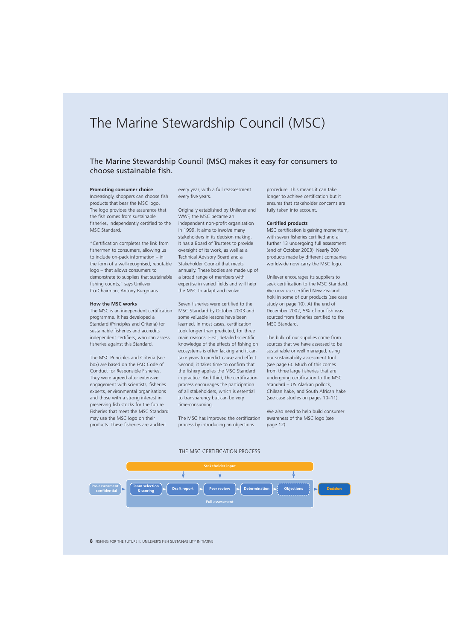# The Marine Stewardship Council (MSC)

### The Marine Stewardship Council (MSC) makes it easy for consumers to choose sustainable fish.

#### **Promoting consumer choice**

Increasingly, shoppers can choose fish products that bear the MSC logo. The logo provides the assurance that the fish comes from sustainable fisheries, independently certified to the MSC Standard.

"Certification completes the link from fishermen to consumers, allowing us to include on-pack information – in the form of a well-recognised, reputable logo – that allows consumers to demonstrate to suppliers that sustainable fishing counts," says Unilever Co-Chairman, Antony Burgmans.

#### **How the MSC works**

The MSC is an independent certification programme. It has developed a Standard (Principles and Criteria) for sustainable fisheries and accredits independent certifiers, who can assess fisheries against this Standard.

The MSC Principles and Criteria (see box) are based on the FAO Code of Conduct for Responsible Fisheries. They were agreed after extensive engagement with scientists, fisheries experts, environmental organisations and those with a strong interest in preserving fish stocks for the future. Fisheries that meet the MSC Standard may use the MSC logo on their products. These fisheries are audited

every year, with a full reassessment every five years.

Originally established by Unilever and WWF, the MSC became an independent non-profit organisation in 1999. It aims to involve many stakeholders in its decision making. It has a Board of Trustees to provide oversight of its work, as well as a Technical Advisory Board and a Stakeholder Council that meets annually. These bodies are made up of a broad range of members with expertise in varied fields and will help the MSC to adapt and evolve.

Seven fisheries were certified to the MSC Standard by October 2003 and some valuable lessons have been learned. In most cases, certification took longer than predicted, for three main reasons. First, detailed scientific knowledge of the effects of fishing on ecosystems is often lacking and it can take years to predict cause and effect. Second, it takes time to confirm that the fishery applies the MSC Standard in practice. And third, the certification process encourages the participation of all stakeholders, which is essential to transparency but can be very time-consuming.

The MSC has improved the certification process by introducing an objections

procedure. This means it can take longer to achieve certification but it ensures that stakeholder concerns are fully taken into account.

#### **Certified products**

MSC certification is gaining momentum, with seven fisheries certified and a further 13 undergoing full assessment (end of October 2003). Nearly 200 products made by different companies worldwide now carry the MSC logo.

Unilever encourages its suppliers to seek certification to the MSC Standard. We now use certified New Zealand hoki in some of our products (see case study on page 10). At the end of December 2002, 5% of our fish was sourced from fisheries certified to the MSC Standard.

The bulk of our supplies come from sources that we have assessed to be sustainable or well managed, using our sustainability assessment tool (see page 6). Much of this comes from three large fisheries that are undergoing certification to the MSC Standard – US Alaskan pollock, Chilean hake, and South African hake (see case studies on pages 10–11).

We also need to help build consumer awareness of the MSC logo (see page 12).



#### THE MSC CERTIFICATION PROCESS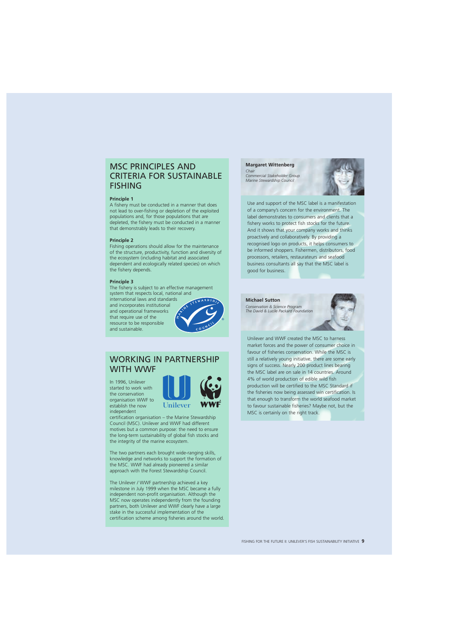### MSC PRINCIPLES AND CRITERIA FOR SUSTAINABLE FISHING

#### **Principle 1**

A fishery must be conducted in a manner that does not lead to over-fishing or depletion of the exploited populations and, for those populations that are depleted, the fishery must be conducted in a manner that demonstrably leads to their recovery.

#### **Principle 2**

Fishing operations should allow for the maintenance of the structure, productivity, function and diversity of the ecosystem (including habitat and associated dependent and ecologically related species) on which the fishery depends.

#### **Principle 3**

The fishery is subject to an effective management system that respects local, national and

international laws and standards and incorporates institutional and operational frameworks that require use of the resource to be responsible and sustainable.



### WORKING IN PARTNERSHIP WITH WWF

In 1996, Unilever started to work with the conservation organisation WWF to establish the now independent



certification organisation – the Marine Stewardship Council (MSC). Unilever and WWF had different motives but a common purpose: the need to ensure the long-term sustainability of global fish stocks and the integrity of the marine ecosystem.

The two partners each brought wide-ranging skills, knowledge and networks to support the formation of the MSC. WWF had already pioneered a similar approach with the Forest Stewardship Council.

The Unilever / WWF partnership achieved a key milestone in July 1999 when the MSC became a fully independent non-profit organisation. Although the MSC now operates independently from the founding partners, both Unilever and WWF clearly have a large stake in the successful implementation of the certification scheme among fisheries around the world.

#### **Margaret Wittenberg**

*Chair Commercial Stakeholder Group Marine Stewardship Council* 



Use and support of the MSC label is a manifestation of a company's concern for the environment. The label demonstrates to consumers and clients that a fishery works to protect fish stocks for the future. And it shows that your company works and thinks proactively and collaboratively. By providing a recognised logo on products, it helps consumers to be informed shoppers. Fishermen, distributors, food processors, retailers, restaurateurs and seafood business consultants all say that the MSC label is good for business.





Unilever and WWF created the MSC to harness market forces and the power of consumer choice in favour of fisheries conservation. While the MSC is still a relatively young initiative, there are some early signs of success. Nearly 200 product lines bearing the MSC label are on sale in 14 countries. Around 4% of world production of edible wild fish production will be certified to the MSC Standard if the fisheries now being assessed win certification. Is that enough to transform the world seafood market to favour sustainable fisheries? Maybe not, but the MSC is certainly on the right track.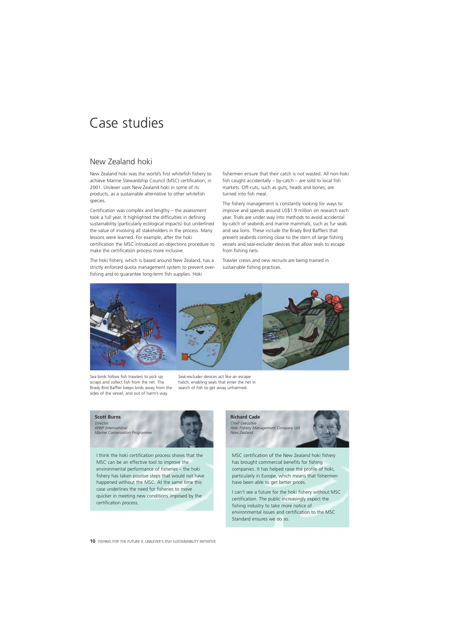# Case studies

### New Zealand hoki

New Zealand hoki was the world's first whitefish fishery to achieve Marine Stewardship Council (MSC) certification, in 2001. Unilever uses New Zealand hoki in some of its products, as a sustainable alternative to other whitefish species.

Certification was complex and lengthy – the assessment took a full year. It highlighted the difficulties in defining sustainability (particularly ecological impacts) but underlined the value of involving all stakeholders in the process. Many lessons were learned. For example, after the hoki certification the MSC introduced an objections procedure to make the certification process more inclusive.

The hoki fishery, which is based around New Zealand, has a strictly enforced quota management system to prevent overfishing and to guarantee long-term fish supplies. Hoki

fishermen ensure that their catch is not wasted. All non-hoki fish caught accidentally – by-catch – are sold to local fish markets. Off-cuts, such as guts, heads and bones, are turned into fish meal.

The fishery management is constantly looking for ways to improve and spends around US\$1.9 million on research each year. Trials are under way into methods to avoid accidental by-catch of seabirds and marine mammals, such as fur seals and sea lions. These include the Brady Bird Bafflers that prevent seabirds coming close to the stern of large fishing vessels and seal-excluder devices that allow seals to escape from fishing nets.

Trawler crews and new recruits are being trained in sustainable fishing practices.



Sea birds follow fish trawlers to pick up scraps and collect fish from the net. The Brady Bird Baffler keeps birds away from the sides of the vessel, and out of harm's way.

Seal-excluder devices act like an escape hatch, enabling seals that enter the net in search of fish to get away unharmed.



I think the hoki certification process shows that the MSC can be an effective tool to improve the environmental performance of fisheries – the hoki fishery has taken positive steps that would not have happened without the MSC. At the same time this case underlines the need for fisheries to move quicker in meeting new conditions imposed by the certification process.



MSC certification of the New Zealand hoki fishery has brought commercial benefits for fishing companies. It has helped raise the profile of hoki, particularly in Europe, which means that fishermen have been able to get better prices.

I can't see a future for the hoki fishery without MSC certification. The public increasingly expect the fishing industry to take more notice of environmental issues and certification to the MSC Standard ensures we do so.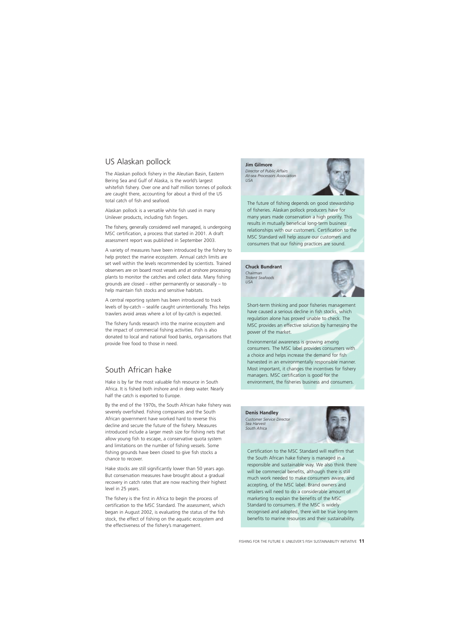### US Alaskan pollock

The Alaskan pollock fishery in the Aleutian Basin, Eastern Bering Sea and Gulf of Alaska, is the world's largest whitefish fishery. Over one and half million tonnes of pollock are caught there, accounting for about a third of the US total catch of fish and seafood.

Alaskan pollock is a versatile white fish used in many Unilever products, including fish fingers.

The fishery, generally considered well managed, is undergoing MSC certification, a process that started in 2001. A draft assessment report was published in September 2003.

A variety of measures have been introduced by the fishery to help protect the marine ecosystem. Annual catch limits are set well within the levels recommended by scientists. Trained observers are on board most vessels and at onshore processing plants to monitor the catches and collect data. Many fishing grounds are closed – either permanently or seasonally – to help maintain fish stocks and sensitive habitats.

A central reporting system has been introduced to track levels of by-catch – sealife caught unintentionally. This helps trawlers avoid areas where a lot of by-catch is expected.

The fishery funds research into the marine ecosystem and the impact of commercial fishing activities. Fish is also donated to local and national food banks, organisations that provide free food to those in need.

### South African hake

Hake is by far the most valuable fish resource in South Africa. It is fished both inshore and in deep water. Nearly half the catch is exported to Europe.

By the end of the 1970s, the South African hake fishery was severely overfished. Fishing companies and the South African government have worked hard to reverse this decline and secure the future of the fishery. Measures introduced include a larger mesh size for fishing nets that allow young fish to escape, a conservative quota system and limitations on the number of fishing vessels. Some fishing grounds have been closed to give fish stocks a chance to recover.

Hake stocks are still significantly lower than 50 years ago. But conservation measures have brought about a gradual recovery in catch rates that are now reaching their highest level in 25 years.

The fishery is the first in Africa to begin the process of certification to the MSC Standard. The assessment, which began in August 2002, is evaluating the status of the fish stock, the effect of fishing on the aquatic ecosystem and the effectiveness of the fishery's management.

**Jim Gilmore**  *Director of Public Affairs At-sea Processors Association USA* 



The future of fishing depends on good stewardship of fisheries. Alaskan pollock producers have for many years made conservation a high priority. This results in mutually beneficial long-term business relationships with our customers. Certification to the MSC Standard will help assure our customers and consumers that our fishing practices are sound.

**Chuck Bundrant**  *Chairman Trident Seafoods USA* 



Short-term thinking and poor fisheries management have caused a serious decline in fish stocks, which regulation alone has proved unable to check. The MSC provides an effective solution by harnessing the power of the market.

Environmental awareness is growing among consumers. The MSC label provides consumers with a choice and helps increase the demand for fish harvested in an environmentally responsible manner. Most important, it changes the incentives for fishery managers. MSC certification is good for the environment, the fisheries business and consumers.

**Denis Handley**  *Customer Service Director Sea Harvest South Africa* 



Certification to the MSC Standard will reaffirm that the South African hake fishery is managed in a responsible and sustainable way. We also think there will be commercial benefits, although there is still much work needed to make consumers aware, and accepting, of the MSC label. Brand owners and retailers will need to do a considerable amount of marketing to explain the benefits of the MSC Standard to consumers. If the MSC is widely recognised and adopted, there will be true long-term benefits to marine resources and their sustainability.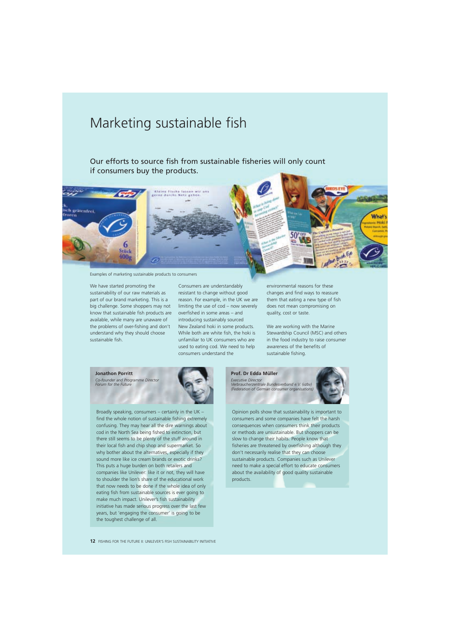# Marketing sustainable fish

Our efforts to source fish from sustainable fisheries will only count if consumers buy the products.



Examples of marketing sustainable products to consumers

We have started promoting the Consumers are understandably environmental reasons for these sustainability of our raw materials as resistant to change without good changes and find ways to reassure part of our brand marketing. This is a reason. For example, in the UK we are them that eating a new type of fish big challenge. Some shoppers may not limiting the use of cod – now severely does not mean compromising on know that sustainable fish products are overfished in some areas – and quality, cost or taste. available, while many are unaware of introducing sustainably sourced the problems of over-fishing and don't New Zealand hoki in some products. We are working with the Marine understand why they should choose While both are white fish, the hoki is Stewardship Council (MSC) and others sustainable fish. unfamiliar to UK consumers who are in the food industry to raise consumer

used to eating cod. We need to help awareness of the benefits of consumers understand the sustainable fishing.

#### **Jonathon Porritt**

Co-founder and Programme Director *Forum for the Future* 



Broadly speaking, consumers – certainly in the UK – find the whole notion of sustainable fishing extremely confusing. They may hear all the dire warnings about cod in the North Sea being fished to extinction, but there still seems to be plenty of the stuff around in their local fish and chip shop and supermarket. So why bother about the alternatives, especially if they sound more like ice cream brands or exotic drinks? This puts a huge burden on both retailers and companies like Unilever: like it or not, they will have to shoulder the lion's share of the educational work that now needs to be done if the whole idea of only eating fish from sustainable sources is ever going to make much impact. Unilever's fish sustainability initiative has made serious progress over the last few years, but 'engaging the consumer' is going to be the toughest challenge of all.

**Prof. Dr Edda Müller** 

*Executive Director Verbraucherzentrale Bundesverband e.V. (vzbv) (Federation of German consumer organisations)* 



Opinion polls show that sustainability is important to consumers and some companies have felt the harsh consequences when consumers think their products or methods are unsustainable. But shoppers can be slow to change their habits. People know that fisheries are threatened by overfishing although they don't necessarily realise that they can choose sustainable products. Companies such as Unilever need to make a special effort to educate consumers about the availability of good quality sustainable products.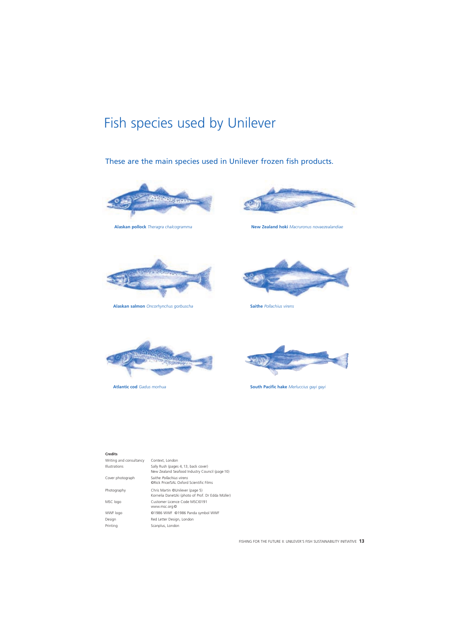# Fish species used by Unilever

### These are the main species used in Unilever frozen fish products.





**Alaskan pollock** *Theragra chalcogramma* **New Zealand hoki** *Macruronus novaezealandiae* 



**Alaskan salmon** *Oncorhynchus gorbuscha* **Saithe** *Pollachius virens* 







**Atlantic cod** Gadus morhua **by a computer of** *South Pacific hake Merluccius gayi gayi* $g$ **yi** *Atlantic cod Gadus morhua* 

#### **Credits**

| Writing and consultancy | Context, London                                                                        |
|-------------------------|----------------------------------------------------------------------------------------|
| <b>Illustrations</b>    | Sally Rush (pages 4, 13, back cover)<br>New Zealand Seafood Industry Council (page 10) |
| Cover photograph        | Saithe <i>Pollachius virens</i><br><b>ORick Price/SAL Oxford Scientific Films</b>      |
| Photography             | Chris Martin ©Unilever (page 5)<br>Kornelia Danetzki (photo of Prof. Dr Edda Müller)   |
| MSC logo                | Customer Licence Code MSCI0191<br>www.msc.org ©                                        |
| WWF logo                | ©1986 WWF ©1986 Panda symbol WWF                                                       |
| Design                  | Red Letter Design, London                                                              |
| Printing                | Scanplus, London                                                                       |
|                         |                                                                                        |